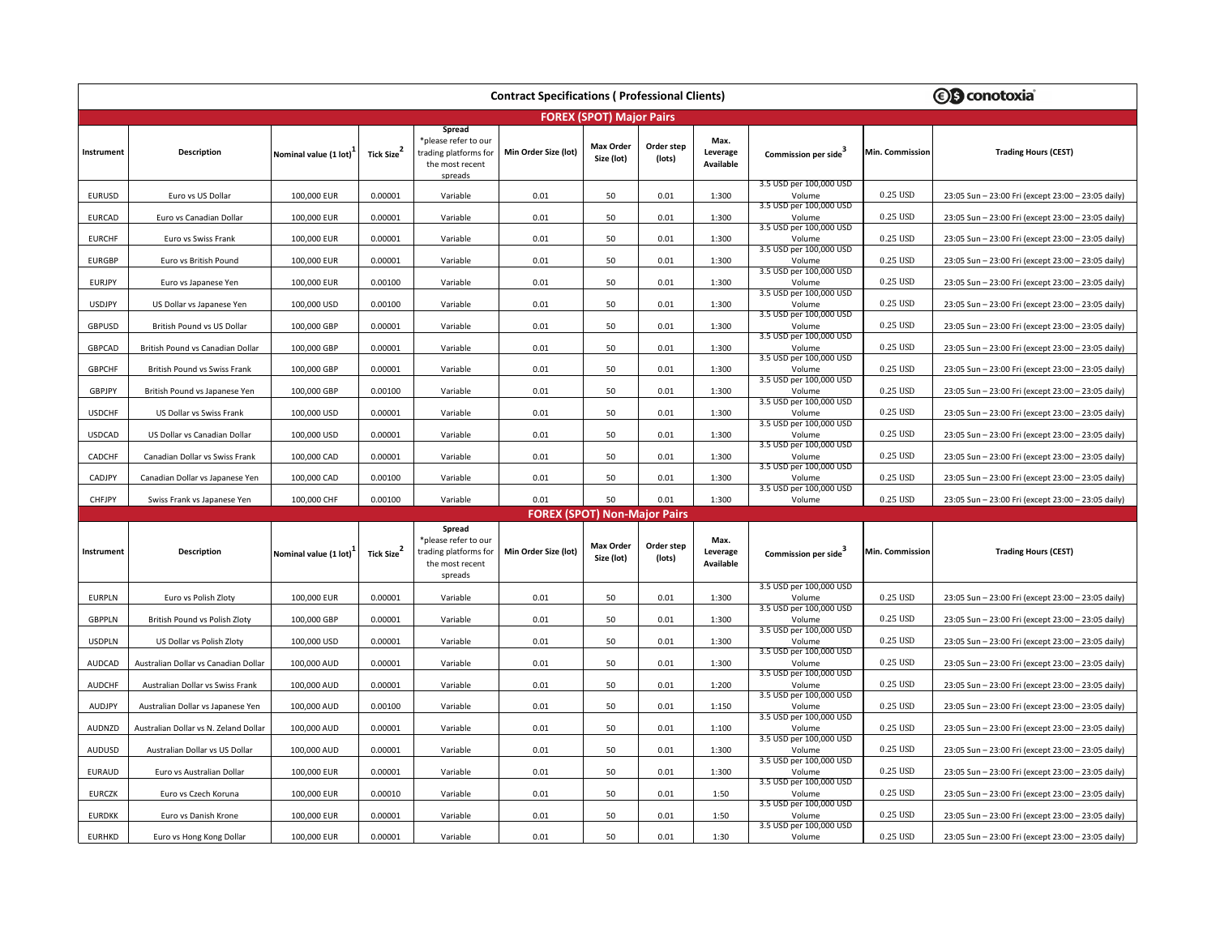| <b>Contract Specifications (Professional Clients)</b> |                                       |                       |                  |                                                                                       |                                     |                                 |                      |                               |                                                              |                 | <b><i><b>€</b></i></b> conotoxia                   |  |
|-------------------------------------------------------|---------------------------------------|-----------------------|------------------|---------------------------------------------------------------------------------------|-------------------------------------|---------------------------------|----------------------|-------------------------------|--------------------------------------------------------------|-----------------|----------------------------------------------------|--|
|                                                       |                                       |                       |                  |                                                                                       |                                     | <b>FOREX (SPOT) Major Pairs</b> |                      |                               |                                                              |                 |                                                    |  |
| Instrument                                            | <b>Description</b>                    | Nominal value (1 lot) | Tick Size        | Spread<br>please refer to our<br>trading platforms for<br>the most recent<br>spreads  | Min Order Size (lot)                | Max Order<br>Size (lot)         | Order step<br>(lots) | Max.<br>Leverage<br>Available | Commission per side                                          | Min. Commission | <b>Trading Hours (CEST)</b>                        |  |
| EURUSD                                                | Euro vs US Dollar                     | 100,000 EUR           | 0.00001          | Variable                                                                              | 0.01                                | 50                              | 0.01                 | 1:300                         | 3.5 USD per 100,000 USD<br>Volume                            | 0.25 USD        | 23:05 Sun - 23:00 Fri (except 23:00 - 23:05 daily) |  |
| <b>EURCAD</b>                                         | Euro vs Canadian Dollar               | 100,000 EUR           | 0.00001          | Variable                                                                              | 0.01                                | 50                              | 0.01                 | 1:300                         | 3.5 USD per 100,000 USD<br>Volume                            | 0.25 USD        | 23:05 Sun - 23:00 Fri (except 23:00 - 23:05 daily) |  |
| <b>EURCHF</b>                                         | Euro vs Swiss Frank                   | 100,000 EUR           | 0.00001          | Variable                                                                              | 0.01                                | 50                              | 0.01                 | 1:300                         | 3.5 USD per 100,000 USD<br>Volume                            | 0.25 USD        | 23:05 Sun - 23:00 Fri (except 23:00 - 23:05 daily) |  |
| <b>EURGBP</b>                                         | Euro vs British Pound                 | 100,000 EUR           | 0.00001          | Variable                                                                              | 0.01                                | 50                              | 0.01                 | 1:300                         | 3.5 USD per 100,000 USD<br>Volume                            | 0.25 USD        | 23:05 Sun - 23:00 Fri (except 23:00 - 23:05 daily) |  |
| <b>EURJPY</b>                                         | Euro vs Japanese Yen                  | 100,000 EUR           | 0.00100          | Variable                                                                              | 0.01                                | 50                              | 0.01                 | 1:300                         | 3.5 USD per 100,000 USD<br>Volume                            | 0.25 USD        | 23:05 Sun - 23:00 Fri (except 23:00 - 23:05 daily) |  |
| <b>USDJPY</b>                                         | US Dollar vs Japanese Yen             | 100,000 USD           | 0.00100          | Variable                                                                              | 0.01                                | 50                              | 0.01                 | 1:300                         | 3.5 USD per 100,000 USD<br>Volume                            | 0.25 USD        | 23:05 Sun - 23:00 Fri (except 23:00 - 23:05 daily) |  |
| <b>GBPUSD</b>                                         | British Pound vs US Dollar            | 100,000 GBP           | 0.00001          | Variable                                                                              | 0.01                                | 50                              | 0.01                 | 1:300                         | 3.5 USD per 100,000 USD<br>Volume<br>3.5 USD per 100,000 USD | 0.25 USD        | 23:05 Sun - 23:00 Fri (except 23:00 - 23:05 daily) |  |
| GBPCAD                                                | British Pound vs Canadian Dollar      | 100,000 GBP           | 0.00001          | Variable                                                                              | 0.01                                | 50                              | 0.01                 | 1:300                         | Volume<br>3.5 USD per 100,000 USD                            | 0.25 USD        | 23:05 Sun - 23:00 Fri (except 23:00 - 23:05 daily) |  |
| <b>GBPCHF</b>                                         | British Pound vs Swiss Frank          | 100,000 GBP           | 0.00001          | Variable                                                                              | 0.01                                | 50                              | 0.01                 | 1:300                         | Volume<br>3.5 USD per 100,000 USD                            | 0.25 USD        | 23:05 Sun - 23:00 Fri (except 23:00 - 23:05 daily) |  |
| GBPJPY                                                | British Pound vs Japanese Yen         | 100,000 GBP           | 0.00100          | Variable                                                                              | 0.01                                | 50                              | 0.01                 | 1:300                         | Volume<br>3.5 USD per 100,000 USD                            | 0.25 USD        | 23:05 Sun - 23:00 Fri (except 23:00 - 23:05 daily) |  |
| <b>USDCHF</b>                                         | US Dollar vs Swiss Frank              | 100,000 USD           | 0.00001          | Variable                                                                              | 0.01                                | 50                              | 0.01                 | 1:300                         | Volume<br>3.5 USD per 100,000 USD                            | 0.25 USD        | 23:05 Sun - 23:00 Fri (except 23:00 - 23:05 daily) |  |
| USDCAD                                                | US Dollar vs Canadian Dollar          | 100,000 USD           | 0.00001          | Variable                                                                              | 0.01                                | 50                              | 0.01                 | 1:300                         | Volume<br>3.5 USD per 100,000 USD                            | 0.25 USD        | 23:05 Sun - 23:00 Fri (except 23:00 - 23:05 daily) |  |
| CADCHF                                                | Canadian Dollar vs Swiss Frank        | 100,000 CAD           | 0.00001          | Variable                                                                              | 0.01                                | 50                              | 0.01                 | 1:300                         | Volume<br>3.5 USD per 100,000 USD                            | 0.25 USD        | 23:05 Sun - 23:00 Fri (except 23:00 - 23:05 daily) |  |
| CADJPY                                                | Canadian Dollar vs Japanese Yen       | 100,000 CAD           | 0.00100          | Variable                                                                              | 0.01                                | 50                              | 0.01                 | 1:300                         | Volume<br>3.5 USD per 100,000 USD                            | 0.25 USD        | 23:05 Sun - 23:00 Fri (except 23:00 - 23:05 daily) |  |
| CHFJPY                                                | Swiss Frank vs Japanese Yen           | 100,000 CHF           | 0.00100          | Variable                                                                              | 0.01                                | 50                              | 0.01                 | 1:300                         | Volume                                                       | 0.25 USD        | 23:05 Sun - 23:00 Fri (except 23:00 - 23:05 daily) |  |
|                                                       |                                       |                       |                  |                                                                                       | <b>FOREX (SPOT) Non-Major Pairs</b> |                                 |                      |                               |                                                              |                 |                                                    |  |
| Instrument                                            | <b>Description</b>                    | Nominal value (1 lot) | <b>Tick Size</b> | Spread<br>*please refer to our<br>trading platforms for<br>the most recent<br>spreads | Min Order Size (lot)                | Max Order<br>Size (lot)         | Order step<br>(lots) | Max.<br>Leverage<br>Available | Commission per side                                          | Min. Commission | <b>Trading Hours (CEST)</b>                        |  |
| <b>EURPLN</b>                                         | Euro vs Polish Zloty                  | 100,000 EUR           | 0.00001          | Variable                                                                              | 0.01                                | 50                              | 0.01                 | 1:300                         | 3.5 USD per 100,000 USD<br>Volume                            | 0.25 USD        | 23:05 Sun - 23:00 Fri (except 23:00 - 23:05 daily) |  |
| <b>GBPPLN</b>                                         | British Pound vs Polish Zloty         | 100,000 GBP           | 0.00001          | Variable                                                                              | 0.01                                | 50                              | 0.01                 | 1:300                         | 3.5 USD per 100,000 USD<br>Volume                            | 0.25 USD        | 23:05 Sun - 23:00 Fri (except 23:00 - 23:05 daily) |  |
| <b>USDPLN</b>                                         | US Dollar vs Polish Zloty             | 100,000 USD           | 0.00001          | Variable                                                                              | 0.01                                | 50                              | 0.01                 | 1:300                         | 3.5 USD per 100,000 USD<br>Volume                            | 0.25 USD        | 23:05 Sun - 23:00 Fri (except 23:00 - 23:05 daily) |  |
| AUDCAD                                                | Australian Dollar vs Canadian Dollar  | 100,000 AUD           | 0.00001          | Variable                                                                              | 0.01                                | 50                              | 0.01                 | 1:300                         | 3.5 USD per 100,000 USD<br>Volume                            | 0.25 USD        | 23:05 Sun - 23:00 Fri (except 23:00 - 23:05 daily) |  |
| <b>AUDCHF</b>                                         | Australian Dollar vs Swiss Frank      | 100,000 AUD           | 0.00001          | Variable                                                                              | 0.01                                | 50                              | 0.01                 | 1:200                         | 3.5 USD per 100,000 USD<br>Volume                            | 0.25 USD        | 23:05 Sun - 23:00 Fri (except 23:00 - 23:05 daily) |  |
| AUDJPY                                                | Australian Dollar vs Japanese Yen     | 100,000 AUD           | 0.00100          | Variable                                                                              | 0.01                                | 50                              | 0.01                 | 1:150                         | 3.5 USD per 100,000 USD<br>Volume<br>3.5 USD per 100,000 USD | 0.25 USD        | 23:05 Sun - 23:00 Fri (except 23:00 - 23:05 daily) |  |
| AUDNZD                                                | Australian Dollar vs N. Zeland Dollar | 100,000 AUD           | 0.00001          | Variable                                                                              | 0.01                                | 50                              | 0.01                 | 1:100                         | Volume<br>3.5 USD per 100,000 USD                            | 0.25 USD        | 23:05 Sun - 23:00 Fri (except 23:00 - 23:05 daily) |  |
| AUDUSD                                                | Australian Dollar vs US Dollar        | 100,000 AUD           | 0.00001          | Variable                                                                              | 0.01                                | 50                              | 0.01                 | 1:300                         | Volume<br>3.5 USD per 100,000 USD                            | 0.25 USD        | 23:05 Sun - 23:00 Fri (except 23:00 - 23:05 daily) |  |
| <b>EURAUD</b>                                         | Euro vs Australian Dollar             | 100,000 EUR           | 0.00001          | Variable                                                                              | 0.01                                | 50                              | 0.01                 | 1:300                         | Volume<br>3.5 USD per 100,000 USD                            | 0.25 USD        | 23:05 Sun - 23:00 Fri (except 23:00 - 23:05 daily) |  |
| <b>EURCZK</b>                                         | Euro vs Czech Koruna                  | 100,000 EUR           | 0.00010          | Variable                                                                              | 0.01                                | 50                              | 0.01                 | 1:50                          | Volume<br>3.5 USD per 100,000 USD                            | 0.25 USD        | 23:05 Sun - 23:00 Fri (except 23:00 - 23:05 daily) |  |
| <b>EURDKK</b>                                         | Euro vs Danish Krone                  | 100,000 EUR           | 0.00001          | Variable                                                                              | 0.01                                | 50                              | 0.01                 | 1:50                          | Volume<br>3.5 USD per 100,000 USD                            | 0.25 USD        | 23:05 Sun - 23:00 Fri (except 23:00 - 23:05 daily) |  |
| <b>EURHKD</b>                                         | Euro vs Hong Kong Dollar              | 100,000 EUR           | 0.00001          | Variable                                                                              | 0.01                                | 50                              | 0.01                 | 1:30                          | Volume                                                       | 0.25 USD        | 23:05 Sun - 23:00 Fri (except 23:00 - 23:05 daily) |  |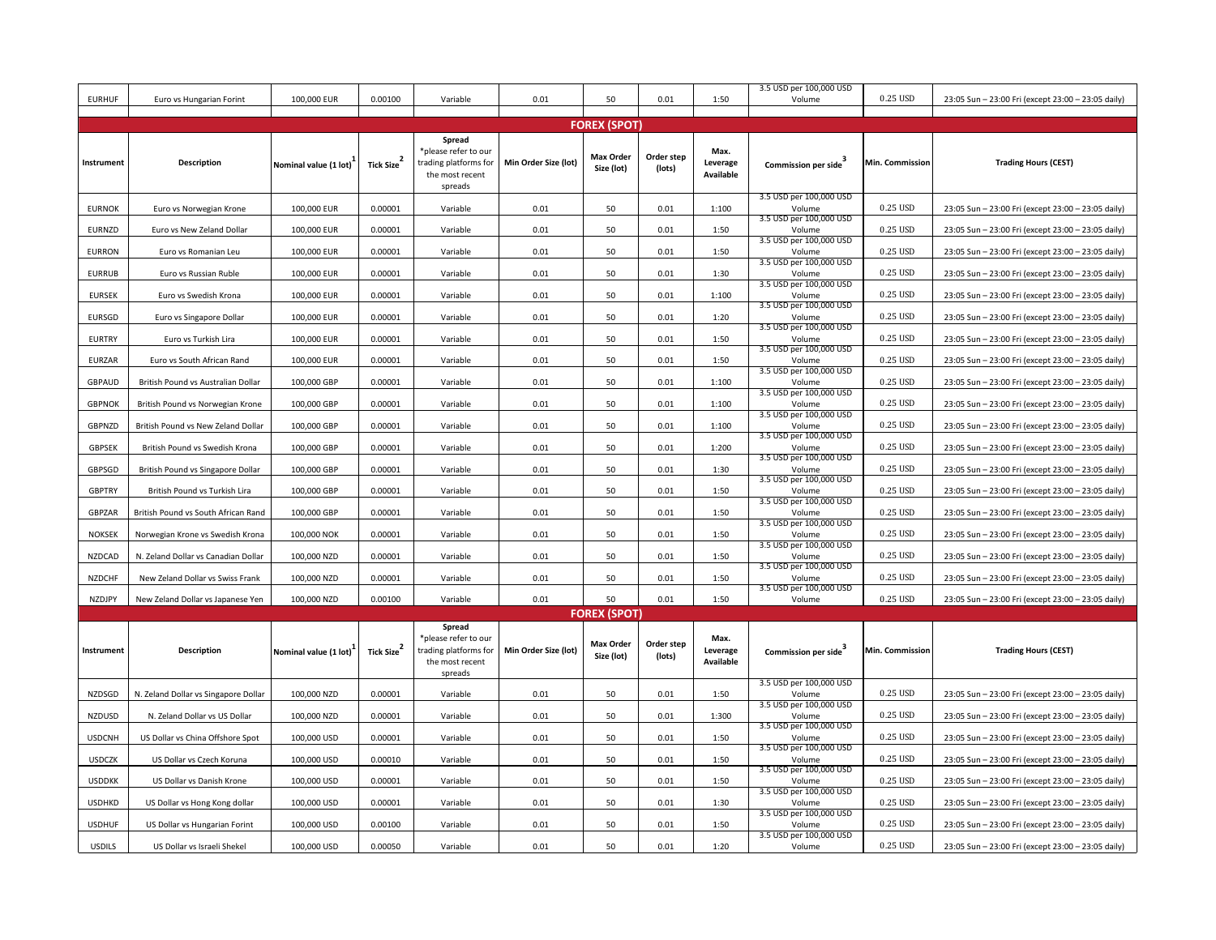| <b>EURHUF</b> | Euro vs Hungarian Forint             | 100,000 EUR           | 0.00100                              | Variable                                                                              | 0.01                 | 50                             | 0.01                 | 1:50                          | 3.5 USD per 100,000 USD<br>Volume                            | 0.25 USD        | 23:05 Sun - 23:00 Fri (except 23:00 - 23:05 daily) |  |
|---------------|--------------------------------------|-----------------------|--------------------------------------|---------------------------------------------------------------------------------------|----------------------|--------------------------------|----------------------|-------------------------------|--------------------------------------------------------------|-----------------|----------------------------------------------------|--|
|               |                                      |                       |                                      |                                                                                       |                      |                                |                      |                               |                                                              |                 |                                                    |  |
|               |                                      |                       |                                      |                                                                                       |                      | <b>FOREX (SPOT)</b>            |                      |                               |                                                              |                 |                                                    |  |
| Instrument    | <b>Description</b>                   | Nominal value (1 lot) | $\overline{\mathbf{2}}$<br>Tick Size | Spread<br>*please refer to our<br>trading platforms for<br>the most recent<br>spreads | Min Order Size (lot) | <b>Max Order</b><br>Size (lot) | Order step<br>(lots) | Max.<br>Leverage<br>Available | Commission per side <sup>3</sup>                             | Min. Commission | <b>Trading Hours (CEST)</b>                        |  |
| <b>EURNOK</b> | Euro vs Norwegian Krone              | 100,000 EUR           | 0.00001                              | Variable                                                                              | 0.01                 | 50                             | 0.01                 | 1:100                         | 3.5 USD per 100,000 USD<br>Volume                            | 0.25 USD        | 23:05 Sun - 23:00 Fri (except 23:00 - 23:05 daily) |  |
| EURNZD        | Euro vs New Zeland Dollar            | 100,000 EUR           | 0.00001                              | Variable                                                                              | 0.01                 | 50                             | 0.01                 | 1:50                          | 3.5 USD per 100,000 USD<br>Volume                            | 0.25 USD        | 23:05 Sun - 23:00 Fri (except 23:00 - 23:05 daily) |  |
| <b>EURRON</b> | Euro vs Romanian Leu                 | 100,000 EUR           | 0.00001                              | Variable                                                                              | 0.01                 | 50                             | 0.01                 | 1:50                          | 3.5 USD per 100,000 USD<br>Volume                            | 0.25 USD        | 23:05 Sun - 23:00 Fri (except 23:00 - 23:05 daily) |  |
| <b>EURRUB</b> | Euro vs Russian Ruble                | 100,000 EUR           | 0.00001                              | Variable                                                                              | 0.01                 | 50                             | 0.01                 | 1:30                          | 3.5 USD per 100,000 USD<br>Volume                            | 0.25 USD        | 23:05 Sun - 23:00 Fri (except 23:00 - 23:05 daily) |  |
| <b>EURSEK</b> | Euro vs Swedish Krona                | 100,000 EUR           | 0.00001                              | Variable                                                                              | 0.01                 | 50                             | 0.01                 | 1:100                         | 3.5 USD per 100,000 USD<br>Volume<br>3.5 USD per 100,000 USD | 0.25 USD        | 23:05 Sun - 23:00 Fri (except 23:00 - 23:05 daily) |  |
| <b>EURSGD</b> | Euro vs Singapore Dollar             | 100,000 EUR           | 0.00001                              | Variable                                                                              | 0.01                 | 50                             | 0.01                 | 1:20                          | Volume<br>3.5 USD per 100,000 USD                            | 0.25 USD        | 23:05 Sun - 23:00 Fri (except 23:00 - 23:05 daily) |  |
| <b>EURTRY</b> | Euro vs Turkish Lira                 | 100,000 EUR           | 0.00001                              | Variable                                                                              | 0.01                 | 50                             | 0.01                 | 1:50                          | Volume<br>3.5 USD per 100,000 USD                            | 0.25 USD        | 23:05 Sun - 23:00 Fri (except 23:00 - 23:05 daily) |  |
| <b>EURZAR</b> | Euro vs South African Rand           | 100,000 EUR           | 0.00001                              | Variable                                                                              | 0.01                 | 50                             | 0.01                 | 1:50                          | Volume<br>3.5 USD per 100,000 USD                            | 0.25 USD        | 23:05 Sun - 23:00 Fri (except 23:00 - 23:05 daily) |  |
| GBPAUD        | British Pound vs Australian Dollar   | 100,000 GBP           | 0.00001                              | Variable                                                                              | 0.01                 | 50                             | 0.01                 | 1:100                         | Volume<br>3.5 USD per 100,000 USD                            | 0.25 USD        | 23:05 Sun - 23:00 Fri (except 23:00 - 23:05 daily) |  |
| <b>GBPNOK</b> | British Pound vs Norwegian Krone     | 100,000 GBP           | 0.00001                              | Variable                                                                              | 0.01                 | 50                             | 0.01                 | 1:100                         | Volume<br>3.5 USD per 100,000 USD                            | 0.25 USD        | 23:05 Sun - 23:00 Fri (except 23:00 - 23:05 daily) |  |
| GBPNZD        | British Pound vs New Zeland Dollar   | 100,000 GBP           | 0.00001                              | Variable                                                                              | 0.01                 | 50                             | 0.01                 | 1:100                         | Volume<br>3.5 USD per 100,000 USD                            | 0.25 USD        | 23:05 Sun - 23:00 Fri (except 23:00 - 23:05 daily) |  |
| <b>GBPSEK</b> | British Pound vs Swedish Krona       | 100,000 GBP           | 0.00001                              | Variable                                                                              | 0.01                 | 50                             | 0.01                 | 1:200                         | Volume<br>3.5 USD per 100,000 USD                            | 0.25 USD        | 23:05 Sun - 23:00 Fri (except 23:00 - 23:05 daily) |  |
| GBPSGD        | British Pound vs Singapore Dollar    | 100,000 GBP           | 0.00001                              | Variable                                                                              | 0.01                 | 50                             | 0.01                 | 1:30                          | Volume<br>3.5 USD per 100,000 USD                            | 0.25 USD        | 23:05 Sun - 23:00 Fri (except 23:00 - 23:05 daily) |  |
| <b>GBPTRY</b> | British Pound vs Turkish Lira        | 100,000 GBP           | 0.00001                              | Variable                                                                              | 0.01                 | 50                             | 0.01                 | 1:50                          | Volume<br>3.5 USD per 100,000 USD                            | 0.25 USD        | 23:05 Sun - 23:00 Fri (except 23:00 - 23:05 daily) |  |
| GBPZAR        | British Pound vs South African Rand  | 100,000 GBP           | 0.00001                              | Variable                                                                              | 0.01                 | 50                             | 0.01                 | 1:50                          | Volume<br>3.5 USD per 100,000 USD                            | 0.25 USD        | 23:05 Sun - 23:00 Fri (except 23:00 - 23:05 daily) |  |
| <b>NOKSEK</b> | Norwegian Krone vs Swedish Krona     | 100,000 NOK           | 0.00001                              | Variable                                                                              | 0.01                 | 50                             | 0.01                 | 1:50                          | Volume<br>3.5 USD per 100,000 USD                            | 0.25 USD        | 23:05 Sun - 23:00 Fri (except 23:00 - 23:05 daily) |  |
| NZDCAD        | N. Zeland Dollar vs Canadian Dollar  | 100,000 NZD           | 0.00001                              | Variable                                                                              | 0.01                 | 50                             | 0.01                 | 1:50                          | Volume<br>3.5 USD per 100,000 USD                            | 0.25 USD        | 23:05 Sun - 23:00 Fri (except 23:00 - 23:05 daily) |  |
| <b>NZDCHF</b> | New Zeland Dollar vs Swiss Frank     | 100,000 NZD           | 0.00001                              | Variable                                                                              | 0.01                 | 50                             | 0.01                 | 1:50                          | Volume<br>3.5 USD per 100,000 USD                            | 0.25 USD        | 23:05 Sun - 23:00 Fri (except 23:00 - 23:05 daily) |  |
| NZDJPY        | New Zeland Dollar vs Japanese Yen    | 100,000 NZD           | 0.00100                              | Variable                                                                              | 0.01                 | 50                             | 0.01                 | 1:50                          | Volume                                                       | 0.25 USD        | 23:05 Sun - 23:00 Fri (except 23:00 - 23:05 daily) |  |
|               |                                      |                       |                                      | Spread                                                                                |                      | <b>FOREX (SPOT)</b>            |                      |                               |                                                              |                 |                                                    |  |
| Instrument    | <b>Description</b>                   | Nominal value (1 lot) | <b>Tick Size</b>                     | *please refer to our<br>trading platforms for<br>the most recent<br>spreads           | Min Order Size (lot) | <b>Max Order</b><br>Size (lot) | Order step<br>(lots) | Max.<br>Leverage<br>Available | Commission per side <sup>3</sup>                             | Min. Commission | <b>Trading Hours (CEST)</b>                        |  |
| NZDSGD        | N. Zeland Dollar vs Singapore Dollar | 100,000 NZD           | 0.00001                              | Variable                                                                              | 0.01                 | 50                             | 0.01                 | 1:50                          | 3.5 USD per 100,000 USD<br>Volume                            | 0.25 USD        | 23:05 Sun - 23:00 Fri (except 23:00 - 23:05 daily) |  |
| <b>NZDUSD</b> | N. Zeland Dollar vs US Dollar        | 100,000 NZD           | 0.00001                              | Variable                                                                              | 0.01                 | 50                             | 0.01                 | 1:300                         | 3.5 USD per 100,000 USD<br>Volume                            | 0.25 USD        | 23:05 Sun - 23:00 Fri (except 23:00 - 23:05 daily) |  |
| <b>USDCNH</b> | US Dollar vs China Offshore Spot     | 100,000 USD           | 0.00001                              | Variable                                                                              | 0.01                 | 50                             | 0.01                 | 1:50                          | 3.5 USD per 100,000 USD<br>Volume                            | 0.25 USD        | 23:05 Sun - 23:00 Fri (except 23:00 - 23:05 daily) |  |
| <b>USDCZK</b> | US Dollar vs Czech Koruna            | 100,000 USD           | 0.00010                              | Variable                                                                              | 0.01                 | 50                             | 0.01                 | 1:50                          | 3.5 USD per 100,000 USD<br>Volume                            | 0.25 USD        | 23:05 Sun - 23:00 Fri (except 23:00 - 23:05 daily) |  |
| <b>USDDKK</b> | US Dollar vs Danish Krone            | 100,000 USD           | 0.00001                              | Variable                                                                              | 0.01                 | 50                             | 0.01                 | 1:50                          | 3.5 USD per 100,000 USD<br>Volume<br>3.5 USD per 100,000 USD | 0.25 USD        | 23:05 Sun - 23:00 Fri (except 23:00 - 23:05 daily) |  |
| <b>USDHKD</b> | US Dollar vs Hong Kong dollar        | 100,000 USD           | 0.00001                              | Variable                                                                              | 0.01                 | 50                             | 0.01                 | 1:30                          | Volume<br>3.5 USD per 100,000 USD                            | 0.25 USD        | 23:05 Sun - 23:00 Fri (except 23:00 - 23:05 daily) |  |
| <b>USDHUF</b> | US Dollar vs Hungarian Forint        | 100,000 USD           | 0.00100                              | Variable                                                                              | 0.01                 | 50                             | 0.01                 | 1:50                          | Volume<br>3.5 USD per 100,000 USD                            | 0.25 USD        | 23:05 Sun - 23:00 Fri (except 23:00 - 23:05 daily) |  |
| <b>USDILS</b> | US Dollar vs Israeli Shekel          | 100,000 USD           | 0.00050                              | Variable                                                                              | 0.01                 | 50                             | 0.01                 | 1:20                          | Volume                                                       | 0.25 USD        | 23:05 Sun - 23:00 Fri (except 23:00 - 23:05 daily) |  |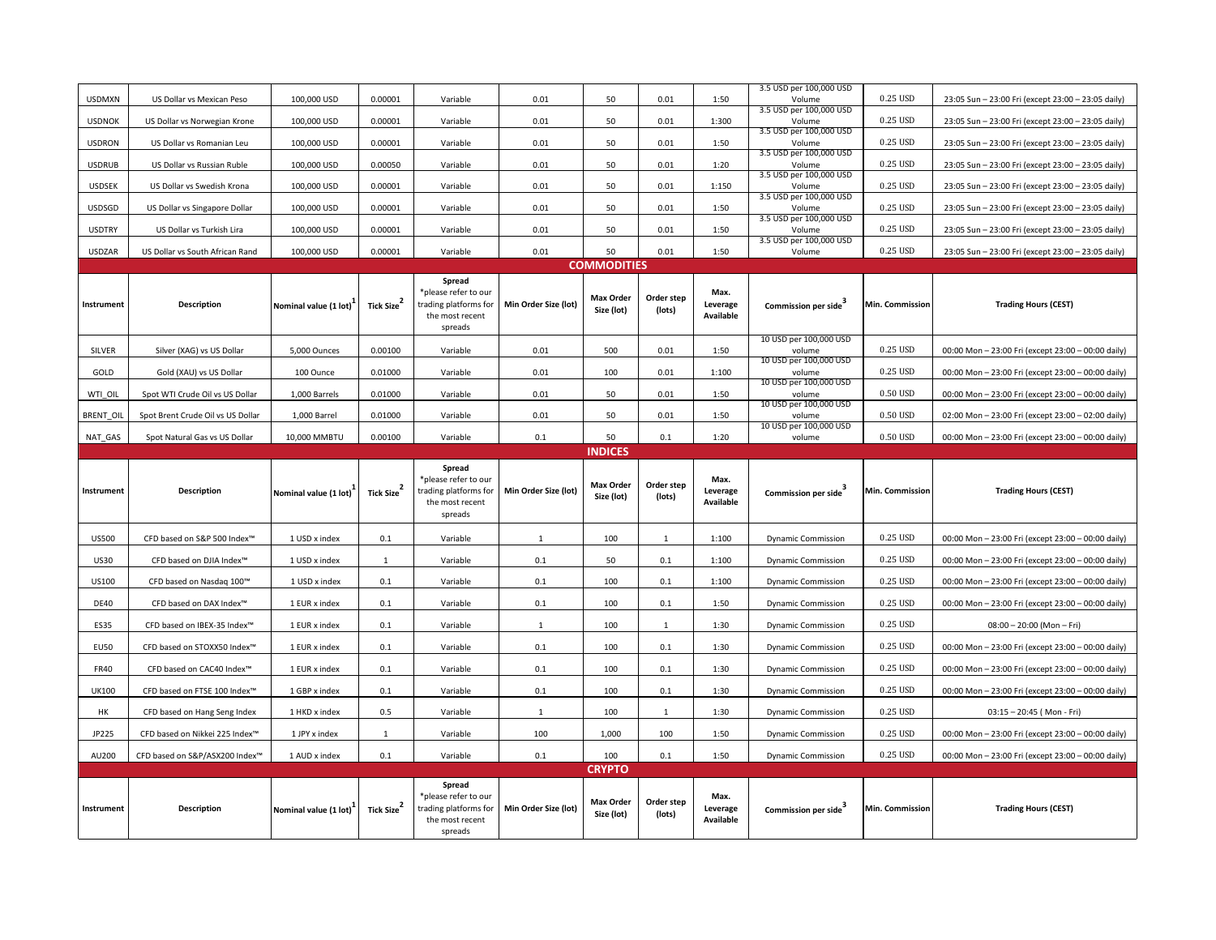| <b>USDMXN</b>    | US Dollar vs Mexican Peso         | 100,000 USD           | 0.00001                | Variable                                                                              | 0.01                 | 50                             | 0.01                 | 1:50                          | 3.5 USD per 100,000 USD<br>Volume | 0.25 USD        | 23:05 Sun - 23:00 Fri (except 23:00 - 23:05 daily) |  |  |  |  |  |
|------------------|-----------------------------------|-----------------------|------------------------|---------------------------------------------------------------------------------------|----------------------|--------------------------------|----------------------|-------------------------------|-----------------------------------|-----------------|----------------------------------------------------|--|--|--|--|--|
| <b>USDNOK</b>    |                                   | 100,000 USD           | 0.00001                |                                                                                       |                      | 50                             | 0.01                 | 1:300                         | 3.5 USD per 100,000 USD           | 0.25 USD        |                                                    |  |  |  |  |  |
|                  | US Dollar vs Norwegian Krone      |                       |                        | Variable                                                                              | 0.01                 |                                |                      |                               | Volume<br>3.5 USD per 100,000 USD |                 | 23:05 Sun - 23:00 Fri (except 23:00 - 23:05 daily) |  |  |  |  |  |
| <b>USDRON</b>    | US Dollar vs Romanian Leu         | 100,000 USD           | 0.00001                | Variable                                                                              | 0.01                 | 50                             | 0.01                 | 1:50                          | Volume<br>3.5 USD per 100,000 USD | 0.25 USD        | 23:05 Sun - 23:00 Fri (except 23:00 - 23:05 daily) |  |  |  |  |  |
| <b>USDRUB</b>    | US Dollar vs Russian Ruble        | 100,000 USD           | 0.00050                | Variable                                                                              | 0.01                 | 50                             | 0.01                 | 1:20                          | Volume<br>3.5 USD per 100,000 USD | 0.25 USD        | 23:05 Sun - 23:00 Fri (except 23:00 - 23:05 daily) |  |  |  |  |  |
| <b>USDSEK</b>    | US Dollar vs Swedish Krona        | 100,000 USD           | 0.00001                | Variable                                                                              | 0.01                 | 50                             | 0.01                 | 1:150                         | Volume<br>3.5 USD per 100,000 USD | 0.25 USD        | 23:05 Sun - 23:00 Fri (except 23:00 - 23:05 daily) |  |  |  |  |  |
| USDSGD           | US Dollar vs Singapore Dollar     | 100,000 USD           | 0.00001                | Variable                                                                              | 0.01                 | 50                             | 0.01                 | 1:50                          | Volume<br>3.5 USD per 100,000 USD | 0.25 USD        | 23:05 Sun - 23:00 Fri (except 23:00 - 23:05 daily) |  |  |  |  |  |
| <b>USDTRY</b>    | US Dollar vs Turkish Lira         | 100,000 USD           | 0.00001                | Variable                                                                              | 0.01                 | 50                             | 0.01                 | 1:50                          | Volume<br>3.5 USD per 100,000 USD | 0.25 USD        | 23:05 Sun - 23:00 Fri (except 23:00 - 23:05 daily) |  |  |  |  |  |
| <b>USDZAR</b>    | US Dollar vs South African Rand   | 100,000 USD           | 0.00001                | Variable                                                                              | 0.01                 | 50                             | 0.01                 | 1:50                          | Volume                            | 0.25 USD        | 23:05 Sun - 23:00 Fri (except 23:00 - 23:05 daily) |  |  |  |  |  |
|                  |                                   |                       |                        |                                                                                       |                      | <b>COMMODITIES</b>             |                      |                               |                                   |                 |                                                    |  |  |  |  |  |
| Instrument       | Description                       | Nominal value (1 lot) | <b>Tick Size</b>       | Spread<br>*please refer to our<br>trading platforms for<br>the most recent<br>spreads | Min Order Size (lot) | Max Order<br>Size (lot)        | Order step<br>(lots) | Max.<br>Leverage<br>Available | Commission per side               | Min. Commission | <b>Trading Hours (CEST)</b>                        |  |  |  |  |  |
| SILVER           | Silver (XAG) vs US Dollar         | 5,000 Ounces          | 0.00100                | Variable                                                                              | 0.01                 | 500                            | 0.01                 | 1:50                          | 10 USD per 100,000 USD<br>volume  | 0.25 USD        | 00:00 Mon - 23:00 Fri (except 23:00 - 00:00 daily) |  |  |  |  |  |
| GOLD             | Gold (XAU) vs US Dollar           | 100 Ounce             | 0.01000                | Variable                                                                              | 0.01                 | 100                            | 0.01                 | 1:100                         | 10 USD per 100,000 USD<br>volume  | 0.25 USD        | 00:00 Mon - 23:00 Fri (except 23:00 - 00:00 daily) |  |  |  |  |  |
| WTI_OIL          | Spot WTI Crude Oil vs US Dollar   | 1,000 Barrels         | 0.01000                | Variable                                                                              | 0.01                 | 50                             | 0.01                 | 1:50                          | 10 USD per 100,000 USD<br>volume  | 0.50 USD        | 00:00 Mon - 23:00 Fri (except 23:00 - 00:00 daily) |  |  |  |  |  |
| <b>BRENT OIL</b> | Spot Brent Crude Oil vs US Dollar | 1,000 Barrel          | 0.01000                | Variable                                                                              | 0.01                 | 50                             | 0.01                 | 1:50                          | 10 USD per 100,000 USD<br>volume  | 0.50 USD        | 02:00 Mon - 23:00 Fri (except 23:00 - 02:00 daily) |  |  |  |  |  |
| NAT GAS          | Spot Natural Gas vs US Dollar     | 10,000 MMBTU          | 0.00100                | Variable                                                                              | 0.1                  | 50                             | 0.1                  | 1:20                          | 10 USD per 100,000 USD<br>volume  | 0.50 USD        | 00:00 Mon - 23:00 Fri (except 23:00 - 00:00 daily) |  |  |  |  |  |
|                  |                                   |                       |                        |                                                                                       |                      | <b>INDICES</b>                 |                      |                               |                                   |                 |                                                    |  |  |  |  |  |
|                  |                                   |                       |                        |                                                                                       |                      |                                |                      |                               |                                   |                 |                                                    |  |  |  |  |  |
| Instrument       | Description                       | Nominal value (1 lot) | Tick Size <sup>2</sup> | Spread<br>*please refer to our<br>trading platforms for<br>the most recent<br>spreads | Min Order Size (lot) | <b>Max Order</b><br>Size (lot) | Order step<br>(lots) | Max.<br>Leverage<br>Available | Commission per side               | Min. Commission | <b>Trading Hours (CEST)</b>                        |  |  |  |  |  |
| <b>US500</b>     | CFD based on S&P 500 Index™       | 1 USD x index         | 0.1                    | Variable                                                                              | 1                    | 100                            | <sup>1</sup>         | 1:100                         | <b>Dynamic Commission</b>         | 0.25 USD        | 00:00 Mon - 23:00 Fri (except 23:00 - 00:00 daily) |  |  |  |  |  |
| <b>US30</b>      | CFD based on DJIA Index™          | 1 USD x index         | $\mathbf{1}$           | Variable                                                                              | 0.1                  | 50                             | 0.1                  | 1:100                         | <b>Dynamic Commission</b>         | 0.25 USD        | 00:00 Mon - 23:00 Fri (except 23:00 - 00:00 daily) |  |  |  |  |  |
| US100            | CFD based on Nasdaq 100™          | 1 USD x index         | 0.1                    | Variable                                                                              | $0.1\,$              | 100                            | 0.1                  | 1:100                         | <b>Dynamic Commission</b>         | 0.25 USD        | 00:00 Mon - 23:00 Fri (except 23:00 - 00:00 daily) |  |  |  |  |  |
| <b>DE40</b>      | CFD based on DAX Index™           | 1 EUR x index         | 0.1                    | Variable                                                                              | 0.1                  | 100                            | 0.1                  | 1:50                          | <b>Dynamic Commission</b>         | 0.25 USD        | 00:00 Mon - 23:00 Fri (except 23:00 - 00:00 daily) |  |  |  |  |  |
| <b>ES35</b>      | CFD based on IBEX-35 Index™       | 1 EUR x index         | 0.1                    | Variable                                                                              | $\mathbf{1}$         | 100                            | $\mathbf{1}$         | 1:30                          | <b>Dynamic Commission</b>         | 0.25 USD        | $08:00 - 20:00$ (Mon-Fri)                          |  |  |  |  |  |
| <b>EU50</b>      | CFD based on STOXX50 Index™       | 1 EUR x index         | 0.1                    | Variable                                                                              | 0.1                  | 100                            | 0.1                  | 1:30                          | <b>Dynamic Commission</b>         | 0.25 USD        | 00:00 Mon - 23:00 Fri (except 23:00 - 00:00 daily) |  |  |  |  |  |
| FR40             | CFD based on CAC40 Index™         | 1 EUR x index         | 0.1                    | Variable                                                                              | 0.1                  | 100                            | 0.1                  | 1:30                          | <b>Dynamic Commission</b>         | 0.25 USD        | 00:00 Mon - 23:00 Fri (except 23:00 - 00:00 daily) |  |  |  |  |  |
| <b>UK100</b>     | CFD based on FTSE 100 Index™      | 1 GBP x index         | 0.1                    | Variable                                                                              | $0.1\,$              | 100                            | 0.1                  | 1:30                          | <b>Dynamic Commission</b>         | 0.25 USD        | 00:00 Mon - 23:00 Fri (except 23:00 - 00:00 daily) |  |  |  |  |  |
| HK               | CFD based on Hang Seng Index      | 1 HKD x index         | 0.5                    | Variable                                                                              | $\mathbf{1}$         | 100                            | <sup>1</sup>         | 1:30                          | <b>Dynamic Commission</b>         | 0.25 USD        | $03:15 - 20:45$ (Mon - Fri)                        |  |  |  |  |  |
| JP225            | CFD based on Nikkei 225 Index™    | 1 JPY x index         | $\mathbf{1}$           | Variable                                                                              | 100                  | 1,000                          | 100                  | 1:50                          | <b>Dynamic Commission</b>         | 0.25 USD        | 00:00 Mon - 23:00 Fri (except 23:00 - 00:00 daily) |  |  |  |  |  |
| AU200            | CFD based on S&P/ASX200 Index™    | 1 AUD x index         | 0.1                    | Variable                                                                              | 0.1                  | 100                            | 0.1                  | 1:50                          | <b>Dynamic Commission</b>         | 0.25 USD        | 00:00 Mon - 23:00 Fri (except 23:00 - 00:00 daily) |  |  |  |  |  |
|                  |                                   |                       |                        | Spread                                                                                |                      | <b>CRYPTO</b>                  |                      |                               |                                   |                 |                                                    |  |  |  |  |  |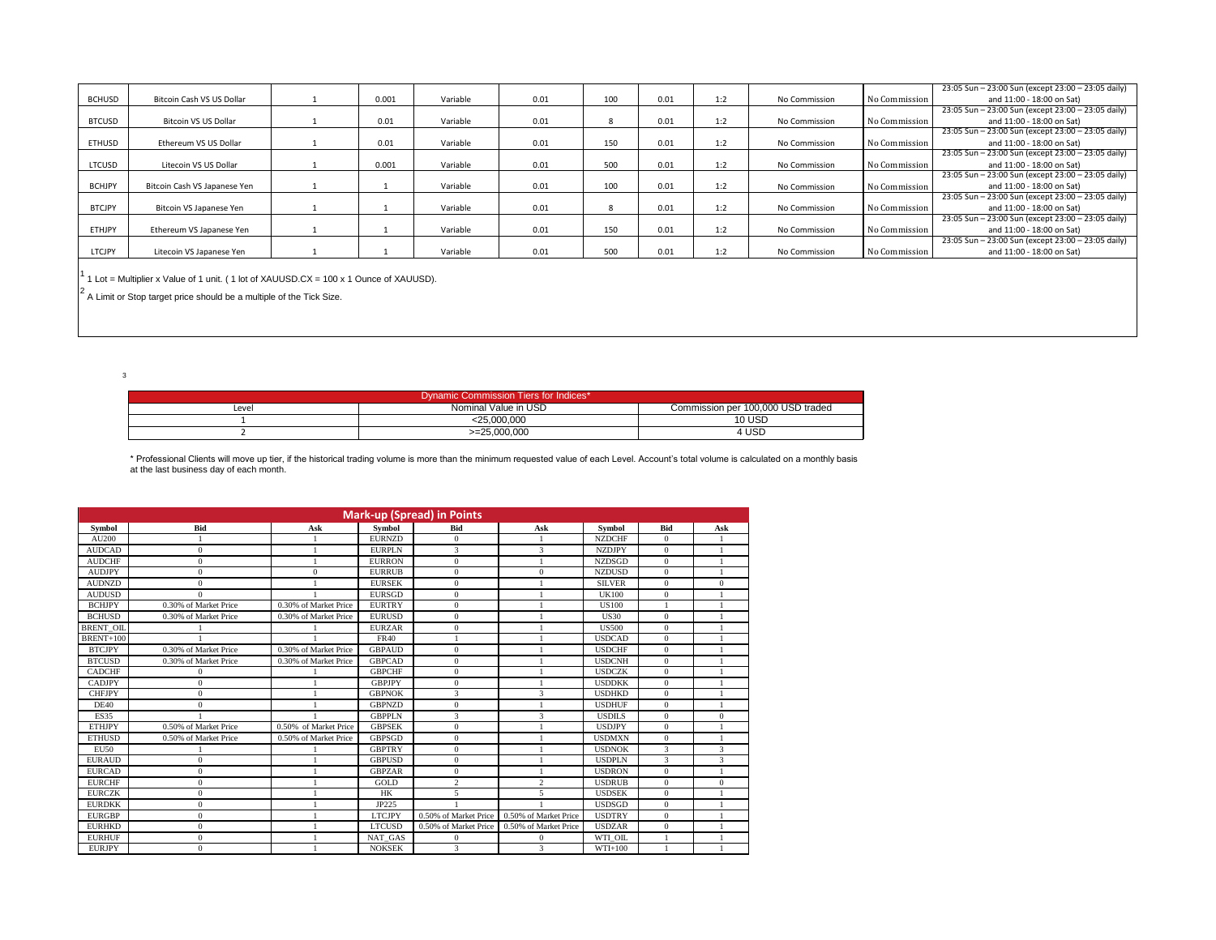|               |                              |       |          |      |              |      |     |               |               | 23:05 Sun - 23:00 Sun (except 23:00 - 23:05 daily) |
|---------------|------------------------------|-------|----------|------|--------------|------|-----|---------------|---------------|----------------------------------------------------|
| <b>BCHUSD</b> | Bitcoin Cash VS US Dollar    | 0.001 | Variable | 0.01 | 100          | 0.01 | 1:2 | No Commission | No Commission | and 11:00 - 18:00 on Sat)                          |
|               |                              |       |          |      |              |      |     |               |               | 23:05 Sun - 23:00 Sun (except 23:00 - 23:05 daily) |
| <b>BTCUSD</b> | <b>Bitcoin VS US Dollar</b>  | 0.01  | Variable | 0.01 | $\mathbf{R}$ | 0.01 | 1:2 | No Commission | No Commission | and 11:00 - 18:00 on Sat)                          |
|               |                              |       |          |      |              |      |     |               |               | 23:05 Sun - 23:00 Sun (except 23:00 - 23:05 daily) |
| ETHUSD        | Ethereum VS US Dollar        | 0.01  | Variable | 0.01 | 150          | 0.01 | 1:2 | No Commission | No Commission | and 11:00 - 18:00 on Sat)                          |
|               |                              |       |          |      |              |      |     |               |               | 23:05 Sun - 23:00 Sun (except 23:00 - 23:05 daily) |
| LTCUSD        | Litecoin VS US Dollar        | 0.001 | Variable | 0.01 | 500          | 0.01 | 1:2 | No Commission | No Commission | and 11:00 - 18:00 on Sat)                          |
|               |                              |       |          |      |              |      |     |               |               | 23:05 Sun - 23:00 Sun (except 23:00 - 23:05 daily) |
| <b>BCHJPY</b> | Bitcoin Cash VS Japanese Yen |       | Variable | 0.01 | 100          | 0.01 | 1:2 | No Commission | No Commission | and 11:00 - 18:00 on Sat)                          |
|               |                              |       |          |      |              |      |     |               |               | 23:05 Sun - 23:00 Sun (except 23:00 - 23:05 daily) |
| <b>BTCJPY</b> | Bitcoin VS Japanese Yen      |       | Variable | 0.01 |              | 0.01 | 1:2 | No Commission | No Commission | and 11:00 - 18:00 on Sat)                          |
|               |                              |       |          |      |              |      |     |               |               | 23:05 Sun - 23:00 Sun (except 23:00 - 23:05 daily) |
| <b>ETHJPY</b> | Ethereum VS Japanese Yen     |       | Variable | 0.01 | 150          | 0.01 | 1:2 | No Commission | No Commission | and 11:00 - 18:00 on Sat)                          |
|               |                              |       |          |      |              |      |     |               |               | 23:05 Sun - 23:00 Sun (except 23:00 - 23:05 daily) |
| LTCJPY        | Litecoin VS Japanese Yen     |       | Variable | 0.01 | 500          | 0.01 | 1:2 | No Commission | No Commission | and 11:00 - 18:00 on Sat)                          |
|               |                              |       |          |      |              |      |     |               |               |                                                    |

<sup>1</sup> 1 Lot = Multiplier x Value of 1 unit. ( 1 lot of XAUUSD.CX = 100 x 1 Ounce of XAUUSD).

 $2$  A Limit or Stop target price should be a multiple of the Tick Size.

3

| Dynamic Commission Tiers for Indices* |                      |                                   |  |  |  |  |  |  |  |  |
|---------------------------------------|----------------------|-----------------------------------|--|--|--|--|--|--|--|--|
| Level                                 | Nominal Value in USD | Commission per 100,000 USD traded |  |  |  |  |  |  |  |  |
|                                       | <25.000.000          | <b>10 USD</b>                     |  |  |  |  |  |  |  |  |
|                                       | $>=25.000.000$       | 4 USD                             |  |  |  |  |  |  |  |  |

\* Professional Clients will move up tier, if the historical trading volume is more than the minimum requested value of each Level. Account's total volume is calculated on a monthly basis at the last business day of each month.

| <b>Mark-up (Spread) in Points</b> |                       |                       |               |                       |                       |               |              |              |  |  |  |  |
|-----------------------------------|-----------------------|-----------------------|---------------|-----------------------|-----------------------|---------------|--------------|--------------|--|--|--|--|
| <b>Symbol</b>                     | Bid                   | Ask                   | Symbol        | Bid                   | Ask                   | <b>Symbol</b> | <b>Bid</b>   | Ask          |  |  |  |  |
| AU200                             |                       |                       | <b>EURNZD</b> | $\mathbf{0}$          |                       | <b>NZDCHF</b> | $\mathbf{0}$ |              |  |  |  |  |
| <b>AUDCAD</b>                     | $\Omega$              |                       | <b>EURPLN</b> | 3                     | 3                     | <b>NZDJPY</b> | $\mathbf{0}$ |              |  |  |  |  |
| <b>AUDCHF</b>                     | $\mathbf{0}$          |                       | <b>EURRON</b> | $\mathbf{0}$          |                       | <b>NZDSGD</b> | $\mathbf{0}$ |              |  |  |  |  |
| <b>AUDJPY</b>                     | $\mathbf{0}$          | $\mathbf{0}$          | <b>EURRUB</b> | $\bf{0}$              | $\bf{0}$              | <b>NZDUSD</b> | $\mathbf{0}$ |              |  |  |  |  |
| <b>AUDNZD</b>                     | $\mathbf{0}$          |                       | <b>EURSEK</b> | $\mathbf{0}$          |                       | <b>SILVER</b> | $\mathbf{0}$ | $\mathbf{0}$ |  |  |  |  |
| <b>AUDUSD</b>                     | $\Omega$              |                       | <b>EURSGD</b> | $\mathbf{0}$          |                       | <b>UK100</b>  | $\mathbf{0}$ |              |  |  |  |  |
| <b>BCHJPY</b>                     | 0.30% of Market Price | 0.30% of Market Price | <b>EURTRY</b> | $\mathbf{0}$          |                       | <b>US100</b>  |              |              |  |  |  |  |
| <b>BCHUSD</b>                     | 0.30% of Market Price | 0.30% of Market Price | <b>EURUSD</b> | $\mathbf{0}$          |                       | <b>US30</b>   | $\mathbf{0}$ |              |  |  |  |  |
| <b>BRENT OIL</b>                  |                       |                       | <b>EURZAR</b> | $\bf{0}$              |                       | <b>US500</b>  | $\mathbf{0}$ |              |  |  |  |  |
| BRENT+100                         |                       |                       | <b>FR40</b>   |                       |                       | <b>USDCAD</b> | $\mathbf{0}$ |              |  |  |  |  |
| <b>BTCJPY</b>                     | 0.30% of Market Price | 0.30% of Market Price | <b>GBPAUD</b> | $\mathbf{0}$          |                       | <b>USDCHF</b> | $\mathbf{0}$ |              |  |  |  |  |
| <b>BTCUSD</b>                     | 0.30% of Market Price | 0.30% of Market Price | <b>GBPCAD</b> | $\mathbf{0}$          |                       | <b>USDCNH</b> | $\mathbf{0}$ |              |  |  |  |  |
| <b>CADCHF</b>                     | $\Omega$              |                       | <b>GBPCHF</b> | $\mathbf{0}$          |                       | <b>USDCZK</b> | $\mathbf{0}$ |              |  |  |  |  |
| <b>CADJPY</b>                     | $\mathbf{0}$          |                       | <b>GBPJPY</b> | $\mathbf{0}$          |                       | <b>USDDKK</b> | $\Omega$     |              |  |  |  |  |
| <b>CHFJPY</b>                     | $\Omega$              |                       | <b>GBPNOK</b> | 3                     | 3                     | <b>USDHKD</b> | $\mathbf{0}$ |              |  |  |  |  |
| <b>DE40</b>                       | $\Omega$              |                       | <b>GBPNZD</b> | $\mathbf{0}$          |                       | <b>USDHUF</b> | $\mathbf{0}$ |              |  |  |  |  |
| <b>ES35</b>                       |                       |                       | <b>GBPPLN</b> | 3                     | 3                     | <b>USDILS</b> | $\mathbf{0}$ | $\mathbf{0}$ |  |  |  |  |
| <b>ETHJPY</b>                     | 0.50% of Market Price | 0.50% of Market Price | <b>GBPSEK</b> | $\mathbf{0}$          |                       | <b>USDJPY</b> | $\mathbf{0}$ |              |  |  |  |  |
| <b>ETHUSD</b>                     | 0.50% of Market Price | 0.50% of Market Price | <b>GBPSGD</b> | $\mathbf{0}$          |                       | <b>USDMXN</b> | $\Omega$     | $\mathbf{1}$ |  |  |  |  |
| <b>EU50</b>                       |                       |                       | <b>GBPTRY</b> | $\boldsymbol{0}$      |                       | <b>USDNOK</b> | 3            | 3            |  |  |  |  |
| <b>EURAUD</b>                     | $\Omega$              |                       | <b>GBPUSD</b> | $\mathbf{0}$          |                       | <b>USDPLN</b> | 3            | 3            |  |  |  |  |
| <b>EURCAD</b>                     | $\mathbf{0}$          |                       | <b>GBPZAR</b> | $\mathbf{0}$          |                       | <b>USDRON</b> | $\mathbf{0}$ | 1            |  |  |  |  |
| <b>EURCHF</b>                     | $\Omega$              |                       | GOLD          | $\overline{c}$        | $\overline{c}$        | <b>USDRUB</b> | $\mathbf{0}$ | $\mathbf{0}$ |  |  |  |  |
| <b>EURCZK</b>                     | $\Omega$              |                       | <b>HK</b>     | 5                     | 5                     | <b>USDSEK</b> | $\mathbf{0}$ |              |  |  |  |  |
| <b>EURDKK</b>                     | $\mathbf{0}$          |                       | JP225         |                       |                       | <b>USDSGD</b> | $\mathbf{0}$ |              |  |  |  |  |
| <b>EURGBP</b>                     | $\mathbf{0}$          |                       | <b>LTCJPY</b> | 0.50% of Market Price | 0.50% of Market Price | <b>USDTRY</b> | $\mathbf{0}$ | $\mathbf{1}$ |  |  |  |  |
| <b>EURHKD</b>                     | $\mathbf{0}$          |                       | <b>LTCUSD</b> | 0.50% of Market Price | 0.50% of Market Price | <b>USDZAR</b> | $\mathbf{0}$ |              |  |  |  |  |
| <b>EURHUF</b>                     | $\Omega$              |                       | NAT GAS       | $\mathbf{0}$          | $\Omega$              | WTI OIL       |              |              |  |  |  |  |
| <b>EURJPY</b>                     | $\Omega$              |                       | <b>NOKSEK</b> | 3                     | 3                     | $WTI+100$     |              |              |  |  |  |  |